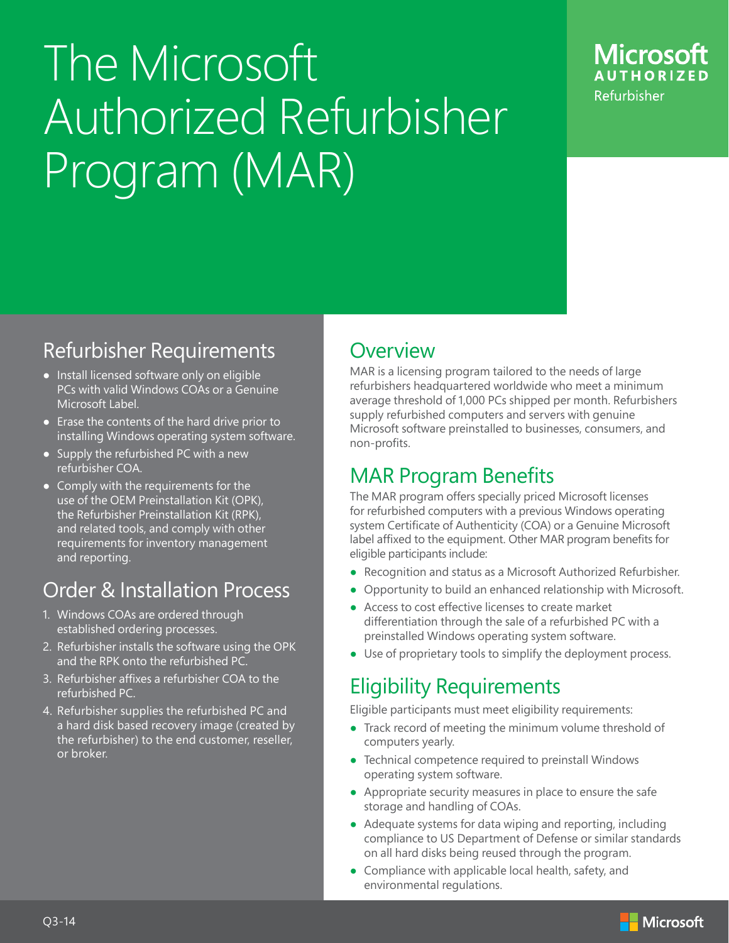# The Microsoft Authorized Refurbisher Program (MAR)



## Refurbisher Requirements

- Install licensed software only on eligible PCs with valid Windows COAs or a Genuine Microsoft Label.
- Erase the contents of the hard drive prior to installing Windows operating system software.
- Supply the refurbished PC with a new refurbisher COA.
- Comply with the requirements for the use of the OEM Preinstallation Kit (OPK), the Refurbisher Preinstallation Kit (RPK), and related tools, and comply with other requirements for inventory management and reporting.

## Order & Installation Process

- 1. Windows COAs are ordered through established ordering processes.
- 2. Refurbisher installs the software using the OPK and the RPK onto the refurbished PC.
- 3. Refurbisher affixes a refurbisher COA to the refurbished PC.
- 4. Refurbisher supplies the refurbished PC and a hard disk based recovery image (created by the refurbisher) to the end customer, reseller, or broker.

### **Overview**

MAR is a licensing program tailored to the needs of large refurbishers headquartered worldwide who meet a minimum average threshold of 1,000 PCs shipped per month. Refurbishers supply refurbished computers and servers with genuine Microsoft software preinstalled to businesses, consumers, and non-profits.

## MAR Program Benefits

The MAR program offers specially priced Microsoft licenses for refurbished computers with a previous Windows operating system Certificate of Authenticity (COA) or a Genuine Microsoft label affixed to the equipment. Other MAR program benefits for eligible participants include:

- Recognition and status as a Microsoft Authorized Refurbisher.
- Opportunity to build an enhanced relationship with Microsoft.
- Access to cost effective licenses to create market differentiation through the sale of a refurbished PC with a preinstalled Windows operating system software.
- Use of proprietary tools to simplify the deployment process.

## Eligibility Requirements

Eligible participants must meet eligibility requirements:

- Track record of meeting the minimum volume threshold of computers yearly.
- Technical competence required to preinstall Windows operating system software.
- Appropriate security measures in place to ensure the safe storage and handling of COAs.
- Adequate systems for data wiping and reporting, including compliance to US Department of Defense or similar standards on all hard disks being reused through the program.
- Compliance with applicable local health, safety, and environmental regulations.